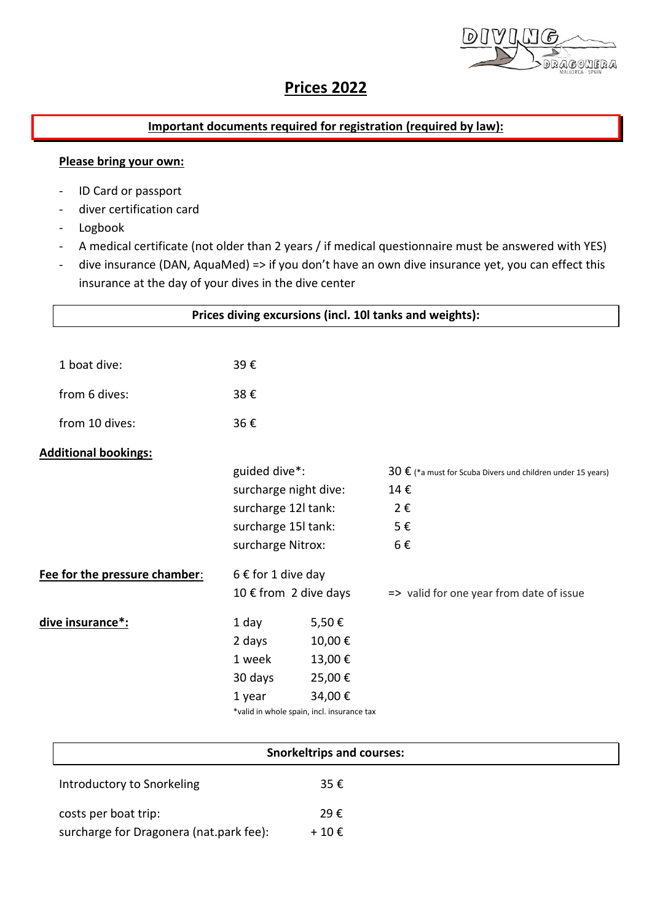DRAGONERA

# **Prices 2022**

# **Important documents required for registration (required by law):**

### **Please bring your own:**

- ID Card or passport
- diver certification card
- Logbook
- A medical certificate (not older than 2 years / if medical questionnaire must be answered with YES)
- dive insurance (DAN, AquaMed) => if you don't have an own dive insurance yet, you can effect this insurance at the day of your dives in the dive center

|                               | Prices diving excursions (incl. 10I tanks and weights): |                       |                                                                      |  |  |  |  |
|-------------------------------|---------------------------------------------------------|-----------------------|----------------------------------------------------------------------|--|--|--|--|
|                               |                                                         |                       |                                                                      |  |  |  |  |
| 1 boat dive:                  | 39€                                                     |                       |                                                                      |  |  |  |  |
| from 6 dives:                 | 38€                                                     |                       |                                                                      |  |  |  |  |
| from 10 dives:                | 36€                                                     |                       |                                                                      |  |  |  |  |
| <b>Additional bookings:</b>   |                                                         |                       |                                                                      |  |  |  |  |
|                               | guided dive*:                                           |                       | 30 $\epsilon$ (*a must for Scuba Divers und children under 15 years) |  |  |  |  |
|                               | surcharge night dive:                                   |                       | 14€                                                                  |  |  |  |  |
|                               | surcharge 12l tank:                                     |                       | $2 \epsilon$                                                         |  |  |  |  |
|                               | surcharge 15l tank:                                     |                       | 5€                                                                   |  |  |  |  |
|                               | surcharge Nitrox:                                       |                       | 6€                                                                   |  |  |  |  |
| Fee for the pressure chamber: | $6 \in$ for 1 dive day                                  |                       |                                                                      |  |  |  |  |
|                               |                                                         | 10 € from 2 dive days | => valid for one year from date of issue                             |  |  |  |  |
| <u>dive insurance*:</u>       | 1 day                                                   | 5,50€                 |                                                                      |  |  |  |  |
| 10,00€<br>2 days              |                                                         |                       |                                                                      |  |  |  |  |
|                               | 1 week                                                  | 13,00€                |                                                                      |  |  |  |  |
|                               | 30 days                                                 | 25,00€                |                                                                      |  |  |  |  |
|                               | 1 year                                                  | 34,00€                |                                                                      |  |  |  |  |
|                               | *valid in whole spain, incl. insurance tax              |                       |                                                                      |  |  |  |  |

| <b>Snorkeltrips and courses:</b>        |                |  |  |
|-----------------------------------------|----------------|--|--|
| Introductory to Snorkeling              | 35€            |  |  |
| costs per boat trip:                    | 29€            |  |  |
| surcharge for Dragonera (nat.park fee): | $+10 \epsilon$ |  |  |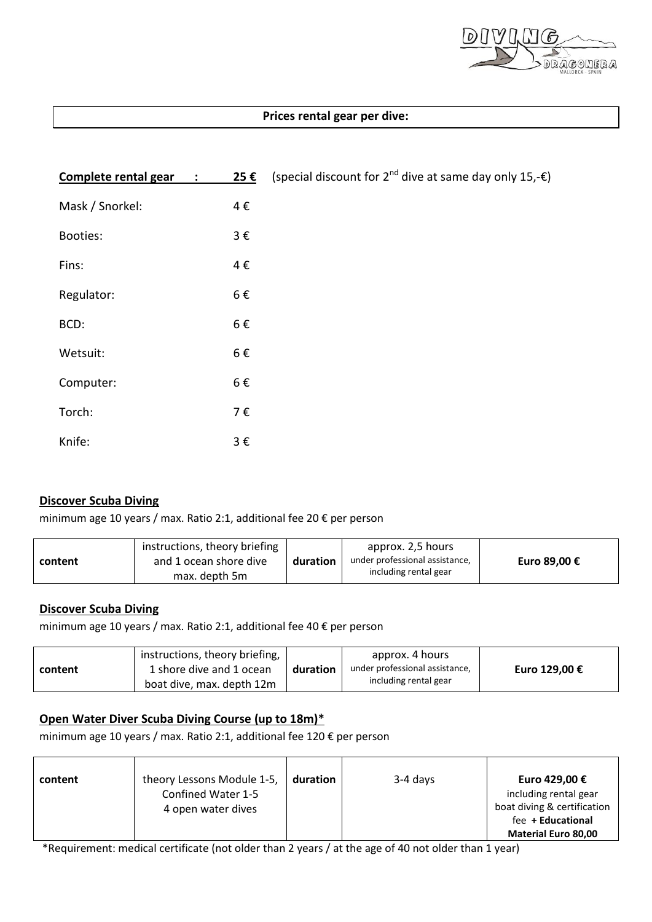

## **Prices rental gear per dive:**

| Complete rental gear<br>$\sim 10^5$ | 25€     | (special discount for $2^{nd}$ dive at same day only 15,- $\varepsilon$ ) |
|-------------------------------------|---------|---------------------------------------------------------------------------|
| Mask / Snorkel:                     | 4€      |                                                                           |
| Booties:                            | $3 \in$ |                                                                           |
| Fins:                               | 4€      |                                                                           |
| Regulator:                          | 6€      |                                                                           |
| BCD:                                | 6€      |                                                                           |
| Wetsuit:                            | 6€      |                                                                           |
| Computer:                           | 6€      |                                                                           |
| Torch:                              | 7€      |                                                                           |
| Knife:                              | $3 \in$ |                                                                           |

#### **Discover Scuba Diving**

minimum age 10 years / max. Ratio 2:1, additional fee 20 € per person

| content | instructions, theory briefing<br>and 1 ocean shore dive<br>max. depth 5m | duration | approx. 2,5 hours<br>under professional assistance,<br>including rental gear | Euro 89,00 € |
|---------|--------------------------------------------------------------------------|----------|------------------------------------------------------------------------------|--------------|
|---------|--------------------------------------------------------------------------|----------|------------------------------------------------------------------------------|--------------|

## **Discover Scuba Diving**

minimum age 10 years / max. Ratio 2:1, additional fee 40 € per person

| content | instructions, theory briefing,<br>1 shore dive and 1 ocean<br>boat dive, max. depth 12m | duration | approx. 4 hours<br>under professional assistance,<br>including rental gear | Euro 129,00 € |
|---------|-----------------------------------------------------------------------------------------|----------|----------------------------------------------------------------------------|---------------|
|---------|-----------------------------------------------------------------------------------------|----------|----------------------------------------------------------------------------|---------------|

### **Open Water Diver Scuba Diving Course (up to 18m)\***

minimum age 10 years / max. Ratio 2:1, additional fee 120 € per person

| content | theory Lessons Module 1-5, | duration | $3-4$ days | Euro 429,00 €               |
|---------|----------------------------|----------|------------|-----------------------------|
|         | Confined Water 1-5         |          |            | including rental gear       |
|         | 4 open water dives         |          |            | boat diving & certification |
|         |                            |          |            | fee + Educational           |
|         |                            |          |            | <b>Material Euro 80,00</b>  |

\*Requirement: medical certificate (not older than 2 years / at the age of 40 not older than 1 year)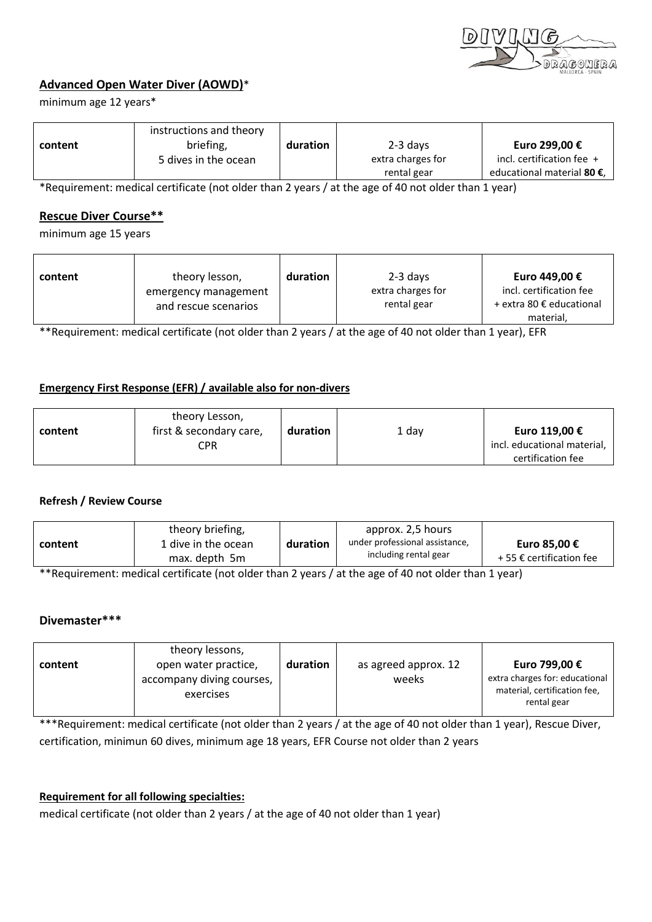

# **Advanced Open Water Diver (AOWD)**\*

minimum age 12 years\*

|         | instructions and theory |          |                   |                            |
|---------|-------------------------|----------|-------------------|----------------------------|
| content | briefing,               | duration | 2-3 days          | Euro 299,00 €              |
|         | 5 dives in the ocean    |          | extra charges for | incl. certification fee +  |
|         |                         |          | rental gear       | educational material 80 €. |

\*Requirement: medical certificate (not older than 2 years / at the age of 40 not older than 1 year)

#### **Rescue Diver Course\*\***

minimum age 15 years

| content | theory lesson,       | duration | $2-3$ days        | Euro 449,00 €            |
|---------|----------------------|----------|-------------------|--------------------------|
|         | emergency management |          | extra charges for | incl. certification fee  |
|         | and rescue scenarios |          | rental gear       | + extra 80 € educational |
|         |                      |          |                   | material,                |

\*\*Requirement: medical certificate (not older than 2 years / at the age of 40 not older than 1 year), EFR

#### **Emergency First Response (EFR) / available also for non-divers**

| content | theory Lesson,<br>first & secondary care, | duration | 1 day | Euro 119,00 €               |
|---------|-------------------------------------------|----------|-------|-----------------------------|
|         | CPR                                       |          |       | incl. educational material, |
|         |                                           |          |       | certification fee           |

#### **Refresh / Review Course**

| content | theory briefing,<br>1 dive in the ocean<br>max. depth 5m | duration | approx. 2,5 hours<br>under professional assistance.<br>including rental gear | Euro 85,00 €<br>+ 55 € certification fee |
|---------|----------------------------------------------------------|----------|------------------------------------------------------------------------------|------------------------------------------|
|         |                                                          |          |                                                                              |                                          |

\*\*Requirement: medical certificate (not older than 2 years / at the age of 40 not older than 1 year)

#### **Divemaster\*\*\***

| theory lessons,<br>open water practice,<br>content<br>accompany diving courses,<br>exercises | duration | as agreed approx. 12<br>weeks | Euro 799,00 €<br>extra charges for: educational<br>material, certification fee,<br>rental gear |
|----------------------------------------------------------------------------------------------|----------|-------------------------------|------------------------------------------------------------------------------------------------|
|----------------------------------------------------------------------------------------------|----------|-------------------------------|------------------------------------------------------------------------------------------------|

\*\*\*Requirement: medical certificate (not older than 2 years / at the age of 40 not older than 1 year), Rescue Diver, certification, minimun 60 dives, minimum age 18 years, EFR Course not older than 2 years

### **Requirement for all following specialties:**

medical certificate (not older than 2 years / at the age of 40 not older than 1 year)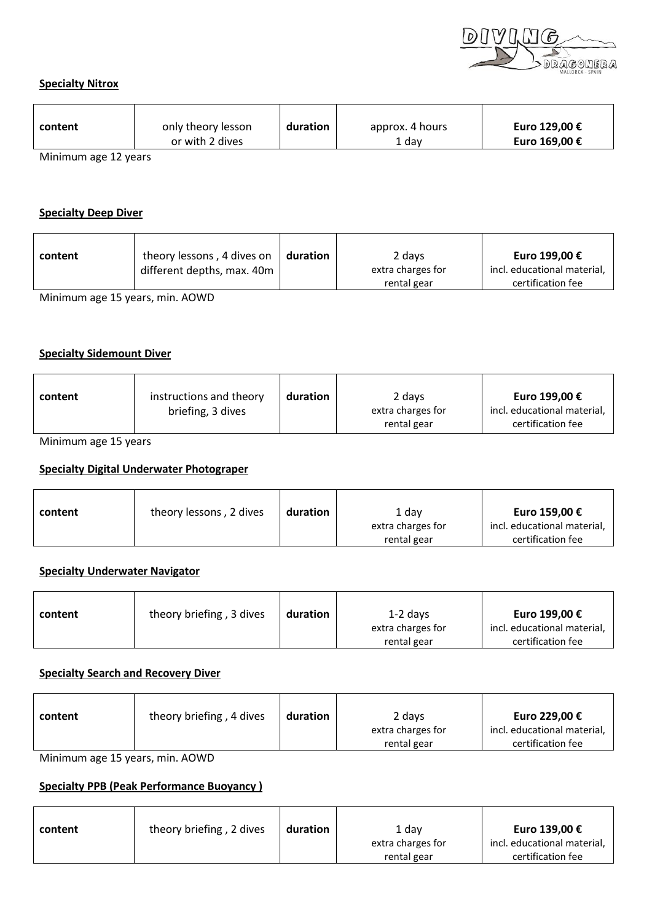

#### **Specialty Nitrox**

| content      | only theory lesson | duration | approx. 4 hours | Euro 129,00 € |
|--------------|--------------------|----------|-----------------|---------------|
|              | or with 2 dives    |          | 1 dav           | Euro 169,00 € |
| $\mathbf{A}$ |                    |          |                 |               |

Minimum age 12 years

#### **Specialty Deep Diver**

| content | theory lessons, 4 dives on<br>different depths, max. 40m | duration | 2 days<br>extra charges for | Euro 199,00 €<br>incl. educational material, |
|---------|----------------------------------------------------------|----------|-----------------------------|----------------------------------------------|
|         |                                                          |          |                             |                                              |
|         |                                                          |          | rental gear                 | certification fee                            |

Minimum age 15 years, min. AOWD

#### **Specialty Sidemount Diver**

| content | instructions and theory | duration | 2 days                           | Euro 199,00 €                                    |
|---------|-------------------------|----------|----------------------------------|--------------------------------------------------|
|         | briefing, 3 dives       |          | extra charges for<br>rental gear | incl. educational material,<br>certification fee |

Minimum age 15 years

## **Specialty Digital Underwater Photograper**

| content | theory lessons, 2 dives | duration | 1 dav             | Euro 159,00 €               |
|---------|-------------------------|----------|-------------------|-----------------------------|
|         |                         |          | extra charges for | incl. educational material, |
|         |                         |          | rental gear       | certification fee           |

# **Specialty Underwater Navigator**

| content | theory briefing, 3 dives | duration | $1-2$ days                       | Euro 199,00 €                                    |
|---------|--------------------------|----------|----------------------------------|--------------------------------------------------|
|         |                          |          | extra charges for<br>rental gear | incl. educational material,<br>certification fee |

#### **Specialty Search and Recovery Diver**

| theory briefing, 4 dives | 2 days            | Euro 229,00 €               |
|--------------------------|-------------------|-----------------------------|
| duration                 | extra charges for | incl. educational material, |
| content                  | rental gear       | certification fee           |

Minimum age 15 years, min. AOWD

# **Specialty PPB (Peak Performance Buoyancy )**

| content | theory briefing, 2 dives | duration | 1 dav             | Euro 139,00 €               |
|---------|--------------------------|----------|-------------------|-----------------------------|
|         |                          |          | extra charges for | incl. educational material, |
|         |                          |          | rental gear       | certification fee           |